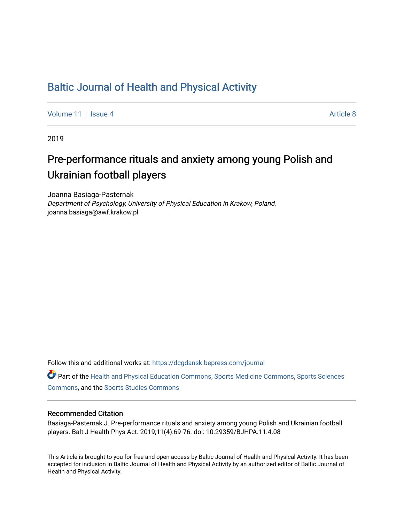## [Baltic Journal of Health and Physical Activity](https://dcgdansk.bepress.com/journal)

[Volume 11](https://dcgdansk.bepress.com/journal/vol11) | [Issue 4](https://dcgdansk.bepress.com/journal/vol11/iss4) Article 8

2019

# Pre-performance rituals and anxiety among young Polish and Ukrainian football players

Joanna Basiaga-Pasternak Department of Psychology, University of Physical Education in Krakow, Poland, joanna.basiaga@awf.krakow.pl

Follow this and additional works at: [https://dcgdansk.bepress.com/journal](https://dcgdansk.bepress.com/journal?utm_source=dcgdansk.bepress.com%2Fjournal%2Fvol11%2Fiss4%2F8&utm_medium=PDF&utm_campaign=PDFCoverPages)

Part of the [Health and Physical Education Commons](http://network.bepress.com/hgg/discipline/1327?utm_source=dcgdansk.bepress.com%2Fjournal%2Fvol11%2Fiss4%2F8&utm_medium=PDF&utm_campaign=PDFCoverPages), [Sports Medicine Commons,](http://network.bepress.com/hgg/discipline/1331?utm_source=dcgdansk.bepress.com%2Fjournal%2Fvol11%2Fiss4%2F8&utm_medium=PDF&utm_campaign=PDFCoverPages) [Sports Sciences](http://network.bepress.com/hgg/discipline/759?utm_source=dcgdansk.bepress.com%2Fjournal%2Fvol11%2Fiss4%2F8&utm_medium=PDF&utm_campaign=PDFCoverPages) [Commons](http://network.bepress.com/hgg/discipline/759?utm_source=dcgdansk.bepress.com%2Fjournal%2Fvol11%2Fiss4%2F8&utm_medium=PDF&utm_campaign=PDFCoverPages), and the [Sports Studies Commons](http://network.bepress.com/hgg/discipline/1198?utm_source=dcgdansk.bepress.com%2Fjournal%2Fvol11%2Fiss4%2F8&utm_medium=PDF&utm_campaign=PDFCoverPages) 

#### Recommended Citation

Basiaga-Pasternak J. Pre-performance rituals and anxiety among young Polish and Ukrainian football players. Balt J Health Phys Act. 2019;11(4):69-76. doi: 10.29359/BJHPA.11.4.08

This Article is brought to you for free and open access by Baltic Journal of Health and Physical Activity. It has been accepted for inclusion in Baltic Journal of Health and Physical Activity by an authorized editor of Baltic Journal of Health and Physical Activity.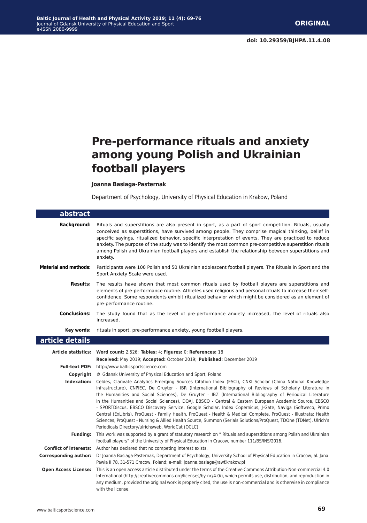# **Pre-performance rituals and anxiety among young Polish and Ukrainian football players**

**Joanna Basiaga-Pasternak**

Department of Psychology, University of Physical Education in Krakow, Poland

| abstract                     |                                                                                                                                                                                                                                                                                                                                                                                                                                                                                                                                                                                                                                                                                                                                                                                                                                                               |
|------------------------------|---------------------------------------------------------------------------------------------------------------------------------------------------------------------------------------------------------------------------------------------------------------------------------------------------------------------------------------------------------------------------------------------------------------------------------------------------------------------------------------------------------------------------------------------------------------------------------------------------------------------------------------------------------------------------------------------------------------------------------------------------------------------------------------------------------------------------------------------------------------|
| <b>Background:</b>           | Rituals and superstitions are also present in sport, as a part of sport competition. Rituals, usually<br>conceived as superstitions, have survived among people. They comprise magical thinking, belief in<br>specific sayings, ritualized behavior, specific interpretation of events. They are practiced to reduce<br>anxiety. The purpose of the study was to identify the most common pre-competitive superstition rituals<br>among Polish and Ukrainian football players and establish the relationship between superstitions and<br>anxiety.                                                                                                                                                                                                                                                                                                            |
| <b>Material and methods:</b> | Participants were 100 Polish and 50 Ukrainian adolescent football players. The Rituals in Sport and the<br>Sport Anxiety Scale were used.                                                                                                                                                                                                                                                                                                                                                                                                                                                                                                                                                                                                                                                                                                                     |
| Results:                     | The results have shown that most common rituals used by football players are superstitions and<br>elements of pre-performance routine. Athletes used religious and personal rituals to increase their self-<br>confidence. Some respondents exhibit ritualized behavior which might be considered as an element of<br>pre-performance routine.                                                                                                                                                                                                                                                                                                                                                                                                                                                                                                                |
| <b>Conclusions:</b>          | The study found that as the level of pre-performance anxiety increased, the level of rituals also<br>increased.                                                                                                                                                                                                                                                                                                                                                                                                                                                                                                                                                                                                                                                                                                                                               |
| Key words:                   | rituals in sport, pre-performance anxiety, young football players.                                                                                                                                                                                                                                                                                                                                                                                                                                                                                                                                                                                                                                                                                                                                                                                            |
| article details              |                                                                                                                                                                                                                                                                                                                                                                                                                                                                                                                                                                                                                                                                                                                                                                                                                                                               |
|                              | Article statistics: Word count: 2,526; Tables: 4; Figures: 0; References: 18<br>Received: May 2019; Accepted: October 2019; Published: December 2019                                                                                                                                                                                                                                                                                                                                                                                                                                                                                                                                                                                                                                                                                                          |
|                              | Full-text PDF: http://www.balticsportscience.com                                                                                                                                                                                                                                                                                                                                                                                                                                                                                                                                                                                                                                                                                                                                                                                                              |
|                              | <b>Copyright</b> © Gdansk University of Physical Education and Sport, Poland                                                                                                                                                                                                                                                                                                                                                                                                                                                                                                                                                                                                                                                                                                                                                                                  |
| Indexation:                  | Celdes, Clarivate Analytics Emerging Sources Citation Index (ESCI), CNKI Scholar (China National Knowledge<br>Infrastructure), CNPIEC, De Gruyter - IBR (International Bibliography of Reviews of Scholarly Literature in<br>the Humanities and Social Sciences), De Gruyter - IBZ (International Bibliography of Periodical Literature<br>in the Humanities and Social Sciences), DOAJ, EBSCO - Central & Eastern European Academic Source, EBSCO<br>- SPORTDiscus, EBSCO Discovery Service, Google Scholar, Index Copernicus, J-Gate, Naviga (Softweco, Primo<br>Central (ExLibris), ProQuest - Family Health, ProQuest - Health & Medical Complete, ProQuest - Illustrata: Health<br>Sciences, ProQuest - Nursing & Allied Health Source, Summon (Serials Solutions/ProQuest, TDOne (TDNet), Ulrich's<br>Periodicals Directory/ulrichsweb, WorldCat (OCLC) |
| <b>Funding:</b>              | This work was supported by a grant of statutory research on " Rituals and superstitions among Polish and Ukrainian<br>football players" of the University of Physical Education in Cracow, number 111/BS/INS/2016.                                                                                                                                                                                                                                                                                                                                                                                                                                                                                                                                                                                                                                            |
|                              | <b>Conflict of interests:</b> Author has declared that no competing interest exists.                                                                                                                                                                                                                                                                                                                                                                                                                                                                                                                                                                                                                                                                                                                                                                          |
| <b>Corresponding author:</b> | Dr Joanna Basiaga-Pasternak, Department of Psychology, University School of Physical Education in Cracow; al. Jana<br>Pawła II 78, 31-571 Cracow, Poland; e-mail: joanna.basiaga@awf.krakow.pl                                                                                                                                                                                                                                                                                                                                                                                                                                                                                                                                                                                                                                                                |
| <b>Open Access License:</b>  | This is an open access article distributed under the terms of the Creative Commons Attribution-Non-commercial 4.0<br>International (http://creativecommons.org/licenses/by-nc/4.0/), which permits use, distribution, and reproduction in<br>any medium, provided the original work is properly cited, the use is non-commercial and is otherwise in compliance<br>with the license.                                                                                                                                                                                                                                                                                                                                                                                                                                                                          |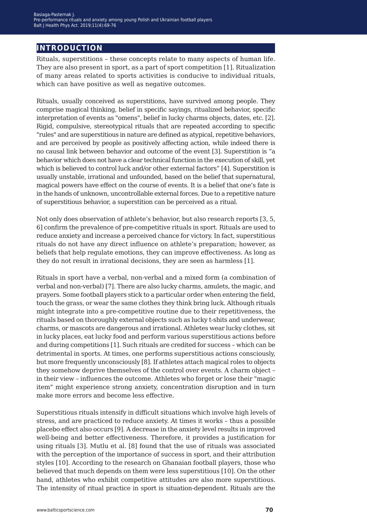## **introduction**

Rituals, superstitions – these concepts relate to many aspects of human life. They are also present in sport, as a part of sport competition [1]. Ritualization of many areas related to sports activities is conducive to individual rituals, which can have positive as well as negative outcomes.

Rituals, usually conceived as superstitions, have survived among people. They comprise magical thinking, belief in specific sayings, ritualized behavior, specific interpretation of events as "omens", belief in lucky charms objects, dates, etc. [2]. Rigid, compulsive, stereotypical rituals that are repeated according to specific "rules" and are superstitious in nature are defined as atypical, repetitive behaviors, and are perceived by people as positively affecting action, while indeed there is no causal link between behavior and outcome of the event [3]. Superstition is "a behavior which does not have a clear technical function in the execution of skill, yet which is believed to control luck and/or other external factors" [4]. Superstition is usually unstable, irrational and unfounded, based on the belief that supernatural, magical powers have effect on the course of events. It is a belief that one's fate is in the hands of unknown, uncontrollable external forces. Due to a repetitive nature of superstitious behavior, a superstition can be perceived as a ritual.

Not only does observation of athlete's behavior, but also research reports [3, 5, 6] confirm the prevalence of pre-competitive rituals in sport. Rituals are used to reduce anxiety and increase a perceived chance for victory. In fact, superstitious rituals do not have any direct influence on athlete's preparation; however, as beliefs that help regulate emotions, they can improve effectiveness. As long as they do not result in irrational decisions, they are seen as harmless [1].

Rituals in sport have a verbal, non-verbal and a mixed form (a combination of verbal and non-verbal) [7]. There are also lucky charms, amulets, the magic, and prayers. Some football players stick to a particular order when entering the field, touch the grass, or wear the same clothes they think bring luck. Although rituals might integrate into a pre-competitive routine due to their repetitiveness, the rituals based on thoroughly external objects such as lucky t-shits and underwear, charms, or mascots are dangerous and irrational. Athletes wear lucky clothes, sit in lucky places, eat lucky food and perform various superstitious actions before and during competitions [1]. Such rituals are credited for success – which can be detrimental in sports. At times, one performs superstitious actions consciously, but more frequently unconsciously [8]. If athletes attach magical roles to objects they somehow deprive themselves of the control over events. A charm object – in their view – influences the outcome. Athletes who forget or lose their "magic item" might experience strong anxiety, concentration disruption and in turn make more errors and become less effective.

Superstitious rituals intensify in difficult situations which involve high levels of stress, and are practiced to reduce anxiety. At times it works – thus a possible placebo effect also occurs [9]. A decrease in the anxiety level results in improved well-being and better effectiveness. Therefore, it provides a justification for using rituals [3]. Mutlu et al. [8] found that the use of rituals was associated with the perception of the importance of success in sport, and their attribution styles [10]. According to the research on Ghanaian football players, those who believed that much depends on them were less superstitious [10]. On the other hand, athletes who exhibit competitive attitudes are also more superstitious. The intensity of ritual practice in sport is situation-dependent. Rituals are the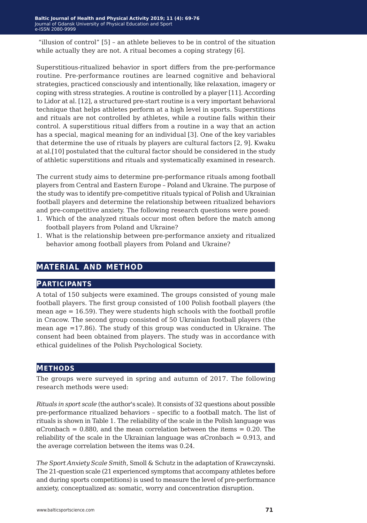"illusion of control" [5] – an athlete believes to be in control of the situation while actually they are not. A ritual becomes a coping strategy [6].

Superstitious-ritualized behavior in sport differs from the pre-performance routine. Pre-performance routines are learned cognitive and behavioral strategies, practiced consciously and intentionally, like relaxation, imagery or coping with stress strategies. A routine is controlled by a player [11]. According to Lidor at al. [12], a structured pre-start routine is a very important behavioral technique that helps athletes perform at a high level in sports. Superstitions and rituals are not controlled by athletes, while a routine falls within their control. A superstitious ritual differs from a routine in a way that an action has a special, magical meaning for an individual [3]. One of the key variables that determine the use of rituals by players are cultural factors [2, 9]. Kwaku at al.[10] postulated that the cultural factor should be considered in the study of athletic superstitions and rituals and systematically examined in research.

The current study aims to determine pre-performance rituals among football players from Central and Eastern Europe – Poland and Ukraine. The purpose of the study was to identify pre-competitive rituals typical of Polish and Ukrainian football players and determine the relationship between ritualized behaviors and pre-competitive anxiety. The following research questions were posed:

- 1. Which of the analyzed rituals occur most often before the match among football players from Poland and Ukraine?
- 1. What is the relationship between pre-performance anxiety and ritualized behavior among football players from Poland and Ukraine?

## **material and method**

### **participants**

A total of 150 subjects were examined. The groups consisted of young male football players. The first group consisted of 100 Polish football players (the mean age  $= 16.59$ ). They were students high schools with the football profile in Cracow. The second group consisted of 50 Ukrainian football players (the mean age =17.86). The study of this group was conducted in Ukraine. The consent had been obtained from players. The study was in accordance with ethical guidelines of the Polish Psychological Society.

#### **methods**

The groups were surveyed in spring and autumn of 2017. The following research methods were used:

*Rituals in sport scale* (the author's scale). It consists of 32 questions about possible pre-performance ritualized behaviors – specific to a football match. The list of rituals is shown in Table 1. The reliability of the scale in the Polish language was  $\alpha$ Cronbach = 0.880, and the mean correlation between the items = 0.20. The reliability of the scale in the Ukrainian language was  $\alpha$ Cronbach = 0.913, and the average correlation between the items was 0.24.

*The Sport Anxiety Scale Smith*, Smoll & Schutz in the adaptation of Krawczynski. The 21-question scale (21 experienced symptoms that accompany athletes before and during sports competitions) is used to measure the level of pre-performance anxiety, conceptualized as: somatic, worry and concentration disruption.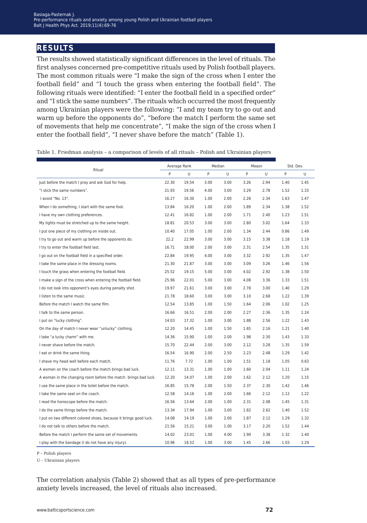## **results**

The results showed statistically significant differences in the level of rituals. The first analyses concerned pre-competitive rituals used by Polish football players. The most common rituals were "I make the sign of the cross when I enter the football field" and "I touch the grass when entering the football field". The following rituals were identified: "I enter the football field in a specified order" and "I stick the same numbers". The rituals which occurred the most frequently among Ukrainian players were the following: "I and my team try to go out and warm up before the opponents do", "before the match I perform the same set of movements that help me concentrate", "I make the sign of the cross when I enter the football field", "I never shave before the match" (Table 1).

| Ritual                                                             |       | Average Rank |      | Median |      | Measn |      | Std. Dev. |  |
|--------------------------------------------------------------------|-------|--------------|------|--------|------|-------|------|-----------|--|
|                                                                    |       | U            | P    | U      | P    | U     | P    | U         |  |
| Just before the match I pray and ask God for help.                 | 22.30 | 19.54        | 3.00 | 3.00   | 3.26 | 2.94  | 1.40 | 1.45      |  |
| "I stick the same numbers".                                        | 21.93 | 19.56        | 4.00 | 3.00   | 3.29 | 2.78  | 1.52 | 1.33      |  |
| I avoid "No. 13".                                                  | 16.27 | 16.30        | 1.00 | 2.00   | 2.28 | 2.34  | 1.63 | 1.47      |  |
| When I do something, I start with the same foot.                   | 13.84 | 16.20        | 1.00 | 2.00   | 1.89 | 2.34  | 1.38 | 1.52      |  |
| I have my own clothing preferences.                                | 12.41 | 16.82        | 1.00 | 2.00   | 1.71 | 2.40  | 1.23 | 1.51      |  |
| My tights must be stretched up to the same height.                 | 18.81 | 20.53        | 3.00 | 3.00   | 2.80 | 3.02  | 1.64 | 1.33      |  |
| I put one piece of my clothing on inside out.                      | 10.40 | 17.05        | 1.00 | 2.00   | 1.34 | 2.44  | 0.86 | 1.49      |  |
| I try to go out and warm up before the opponents do.               | 22.2  | 22.99        | 3.00 | 3.00   | 3.15 | 3.38  | 1.18 | 1.19      |  |
| I try to enter the football field last.                            | 16.71 | 18.00        | 2.00 | 3.00   | 2.31 | 2.54  | 1.35 | 1.31      |  |
| I go out on the football field in a specified order.               | 22.84 | 19.95        | 4.00 | 3.00   | 3.32 | 2.92  | 1.35 | 1.47      |  |
| I take the same place in the dressing rooms.                       | 21.30 | 21.87        | 3.00 | 3.00   | 3.09 | 3.26  | 1.46 | 1.56      |  |
| I touch the grass when entering the football field.                | 25.52 | 19.15        | 5.00 | 3.00   | 4.02 | 2.92  | 1.38 | 1.50      |  |
| I make a sign of the cross when entering the football field.       | 25.96 | 22.01        | 5.00 | 3.00   | 4.08 | 3.36  | 1.33 | 1.51      |  |
| I do not look into opponent's eyes during penalty shot.            | 19.97 | 21.61        | 3.00 | 3.00   | 2.78 | 3.00  | 1.40 | 1.29      |  |
| I listen to the same music.                                        | 21.78 | 18.60        | 3.00 | 3.00   | 3.10 | 2.68  | 1.22 | 1.39      |  |
| Before the match I watch the same film.                            | 12.54 | 13.85        | 1.00 | 1.50   | 1.64 | 2.06  | 1.02 | 1.25      |  |
| I talk to the same person.                                         |       | 16.51        | 2.00 | 2.00   | 2.27 | 2.36  | 1.35 | 1.24      |  |
| I put on "lucky clothing".                                         | 14.03 | 17.32        | 1.00 | 3.00   | 1.88 | 2.56  | 1.22 | 1.43      |  |
| On the day of match I never wear "unlucky" clothing.               | 12.20 | 14.45        | 1.00 | 1.50   | 1.65 | 2.16  | 1.21 | 1.40      |  |
| I take "a lucky charm" with me.                                    |       | 15.90        | 1.00 | 2.00   | 1.98 | 2.30  | 1.43 | 1.33      |  |
| I never shave before the match.                                    | 15.70 | 22.44        | 2.00 | 3.00   | 2.12 | 3.28  | 1.35 | 1.59      |  |
| I eat or drink the same thing.                                     | 16.54 | 16.90        | 2.00 | 2.50   | 2.23 | 2.48  | 1.29 | 1.42      |  |
| I shave my head well before each match.                            | 11.76 | 7.72         | 1.00 | 1.00   | 1.51 | 1.18  | 1.05 | 0.63      |  |
| A women on the coach before the match brings bad luck.             | 12.11 | 13.31        | 1.00 | 1.00   | 1.60 | 2.04  | 1.11 | 1.24      |  |
| A woman in the changing room before the match brings bad luck.     | 12.20 | 14.07        | 1.00 | 2.00   | 1.62 | 2.12  | 1.20 | 1.15      |  |
| I use the same place in the toilet before the match.               | 16.85 | 15.78        | 2.00 | 1.50   | 2.37 | 2.30  | 1.42 | 1.46      |  |
| I take the same seat on the coach.                                 | 12.58 | 14.16        | 1.00 | 2.00   | 1.66 | 2.12  | 1.12 | 1.22      |  |
| I read the horoscope before the match.                             | 16.56 | 13.64        | 2.00 | 1.00   | 2.31 | 2.08  | 1.45 | 1.31      |  |
| I do the same things before the match.                             | 13.34 | 17.94        | 1.00 | 3.00   | 1.82 | 2.62  | 1.40 | 1.52      |  |
| I put on two different colored shoes, because it brings good luck. | 14.08 | 14.19        | 1.00 | 2.00   | 1.87 | 2.12  | 1.29 | 1.32      |  |
| I do not talk to others before the match.                          | 21.56 | 15.21        | 3.00 | 1.00   | 3.17 | 2.20  | 1.52 | 1.44      |  |
| Before the match I perform the same set of movements.              | 14.02 | 23.01        | 1.00 | 4.00   | 1.90 | 3.38  | 1.32 | 1.40      |  |
| I play with the bandage (I do not have any injury).                |       | 18.52        | 1.00 | 3.00   | 1.45 | 2.66  | 1.03 | 1.29      |  |

Table 1. Friedman analysis – a comparison of levels of all rituals – Polish and Ukrainian players

P – Polish players

U – Ukrainian players

The correlation analysis (Table 2) showed that as all types of pre-performance anxiety levels increased, the level of rituals also increased.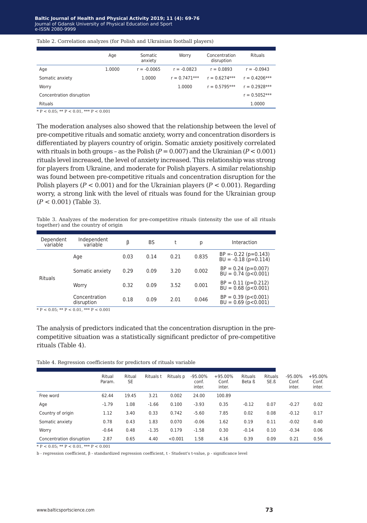#### Table 2. Correlation analyzes (for Polish and Ukrainian football players)

|                          | Age    | Somatic<br>anxiety | Worry           | Concentration<br>disruption | <b>Rituals</b>  |
|--------------------------|--------|--------------------|-----------------|-----------------------------|-----------------|
| Age                      | 1.0000 | $r = -0.0065$      | $r = -0.0823$   | $r = 0.0893$                | $r = -0.0943$   |
| Somatic anxiety          |        | 1.0000             | $r = 0.7471***$ | $r = 0.6274***$             | $r = 0.4206***$ |
| Worry                    |        |                    | 1.0000          | $r = 0.5795***$             | $r = 0.2928***$ |
| Concentration disruption |        |                    |                 |                             | $r = 0.5052***$ |
| <b>Rituals</b>           |        |                    |                 |                             | 1.0000          |
|                          |        |                    |                 |                             |                 |

 $* \mathbb{P} < 0.05; * \mathbb{P} < 0.01, * \mathbb{P} < 0.001$ 

The moderation analyses also showed that the relationship between the level of pre-competitive rituals and somatic anxiety, worry and concentration disorders is differentiated by players country of origin. Somatic anxiety positively correlated with rituals in both groups – as the Polish  $(P = 0.007)$  and the Ukrainian  $(P < 0.001)$ rituals level increased, the level of anxiety increased. This relationship was strong for players from Ukraine, and moderate for Polish players. A similar relationship was found between pre-competitive rituals and concentration disruption for the Polish players (*P* < 0.001) and for the Ukrainian players (*P* < 0.001). Regarding worry, a strong link with the level of rituals was found for the Ukrainian group (*P* < 0.001) (Table 3).

Table 3. Analyzes of the moderation for pre-competitive rituals (intensity the use of all rituals together) and the country of origin

| Dependent<br>variable | Independent<br>variable     | β    | <b>BS</b> |      | р     | Interaction                                                |
|-----------------------|-----------------------------|------|-----------|------|-------|------------------------------------------------------------|
| <b>Rituals</b>        | Age                         | 0.03 | 0.14      | 0.21 | 0.835 | $BP = -0.22$ ( $p=0.143$ )<br>$BU = -0.18$ ( $p = 0.114$ ) |
|                       | Somatic anxiety             | 0.29 | 0.09      | 3.20 | 0.002 | $BP = 0.24$ ( $p=0.007$ )<br>$BU = 0.74$ ( $p < 0.001$ )   |
|                       | Worry                       | 0.32 | 0.09      | 3.52 | 0.001 | $BP = 0.11 (p=0.212)$<br>$BU = 0.68 (p < 0.001)$           |
|                       | Concentration<br>disruption | 0.18 | 0.09      | 2.01 | 0.046 | $BP = 0.39 (p < 0.001)$<br>$BU = 0.69$ ( $p < 0.001$ )     |
|                       |                             |      |           |      |       |                                                            |

\* P < 0.05; \*\* P < 0.01, \*\*\* P < 0.001

The analysis of predictors indicated that the concentration disruption in the precompetitive situation was a statistically significant predictor of pre-competitive rituals (Table 4).

Table 4. Regression coefficients for predictors of rituals variable

|                          | Ritual<br>Param. | Ritual<br><b>SE</b> | Rituals t | Rituals p | $-95.00\%$<br>conf.<br>inter. | $+95.00%$<br>Conf.<br>inter. | <b>Rituals</b><br>Beta ß | <b>Rituals</b><br>SE.ß | $-95.00\%$<br>Conf.<br>inter. | $+95.00\%$<br>Conf.<br>inter. |
|--------------------------|------------------|---------------------|-----------|-----------|-------------------------------|------------------------------|--------------------------|------------------------|-------------------------------|-------------------------------|
| Free word                | 62.44            | 19.45               | 3.21      | 0.002     | 24.00                         | 100.89                       |                          |                        |                               |                               |
| Age                      | $-1.79$          | 1.08                | $-1.66$   | 0.100     | $-3.93$                       | 0.35                         | $-0.12$                  | 0.07                   | $-0.27$                       | 0.02                          |
| Country of origin        | 1.12             | 3.40                | 0.33      | 0.742     | $-5.60$                       | 7.85                         | 0.02                     | 0.08                   | $-0.12$                       | 0.17                          |
| Somatic anxiety          | 0.78             | 0.43                | 1.83      | 0.070     | $-0.06$                       | 1.62                         | 0.19                     | 0.11                   | $-0.02$                       | 0.40                          |
| Worry                    | $-0.64$          | 0.48                | $-1.35$   | 0.179     | $-1.58$                       | 0.30                         | $-0.14$                  | 0.10                   | $-0.34$                       | 0.06                          |
| Concentration disruption | 2.87             | 0.65                | 4.40      | < 0.001   | 1.58                          | 4.16                         | 0.39                     | 0.09                   | 0.21                          | 0.56                          |

 $* P < 0.05$ ;  $* P < 0.01$ ,  $* P < 0.001$ 

b - regression coefficient, β - standardized regression coefficient, t - Student's t-value, p - significance level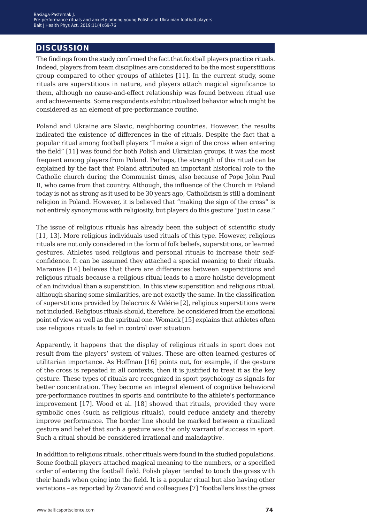## **discussion**

The findings from the study confirmed the fact that football players practice rituals. Indeed, players from team disciplines are considered to be the most superstitious group compared to other groups of athletes [11]. In the current study, some rituals are superstitious in nature, and players attach magical significance to them, although no cause-and-effect relationship was found between ritual use and achievements. Some respondents exhibit ritualized behavior which might be considered as an element of pre-performance routine.

Poland and Ukraine are Slavic, neighboring countries. However, the results indicated the existence of differences in the of rituals. Despite the fact that a popular ritual among football players "I make a sign of the cross when entering the field" [11] was found for both Polish and Ukrainian groups, it was the most frequent among players from Poland. Perhaps, the strength of this ritual can be explained by the fact that Poland attributed an important historical role to the Catholic church during the Communist times, also because of Pope John Paul II, who came from that country. Although, the influence of the Church in Poland today is not as strong as it used to be 30 years ago, Catholicism is still a dominant religion in Poland. However, it is believed that "making the sign of the cross" is not entirely synonymous with religiosity, but players do this gesture "just in case."

The issue of religious rituals has already been the subject of scientific study [11, 13]. More religious individuals used rituals of this type. However, religious rituals are not only considered in the form of folk beliefs, superstitions, or learned gestures. Athletes used religious and personal rituals to increase their selfconfidence. It can be assumed they attached a special meaning to their rituals. Maranise [14] believes that there are differences between superstitions and religious rituals because a religious ritual leads to a more holistic development of an individual than a superstition. In this view superstition and religious ritual, although sharing some similarities, are not exactly the same. In the classification of superstitions provided by Delacroix & Valérie [2], religious superstitions were not included. Religious rituals should, therefore, be considered from the emotional point of view as well as the spiritual one. Womack [15] explains that athletes often use religious rituals to feel in control over situation.

Apparently, it happens that the display of religious rituals in sport does not result from the players' system of values. These are often learned gestures of utilitarian importance. As Hoffman [16] points out, for example, if the gesture of the cross is repeated in all contexts, then it is justified to treat it as the key gesture. These types of rituals are recognized in sport psychology as signals for better concentration. They become an integral element of cognitive behavioral pre-performance routines in sports and contribute to the athlete's performance improvement [17]. Wood et al. [18] showed that rituals, provided they were symbolic ones (such as religious rituals), could reduce anxiety and thereby improve performance. The border line should be marked between a ritualized gesture and belief that such a gesture was the only warrant of success in sport. Such a ritual should be considered irrational and maladaptive.

In addition to religious rituals, other rituals were found in the studied populations. Some football players attached magical meaning to the numbers, or a specified order of entering the football field. Polish player tended to touch the grass with their hands when going into the field. It is a popular ritual but also having other variations – as reported by Živanović and colleagues [7] "footballers kiss the grass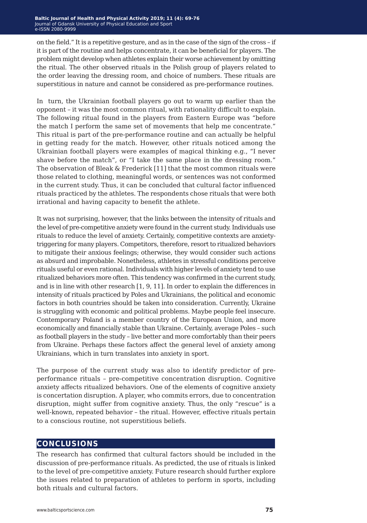on the field." It is a repetitive gesture, and as in the case of the sign of the cross – if it is part of the routine and helps concentrate, it can be beneficial for players. The problem might develop when athletes explain their worse achievement by omitting the ritual. The other observed rituals in the Polish group of players related to the order leaving the dressing room, and choice of numbers. These rituals are superstitious in nature and cannot be considered as pre-performance routines.

In turn, the Ukrainian football players go out to warm up earlier than the opponent – it was the most common ritual, with rationality difficult to explain. The following ritual found in the players from Eastern Europe was "before the match I perform the same set of movements that help me concentrate." This ritual is part of the pre-performance routine and can actually be helpful in getting ready for the match. However, other rituals noticed among the Ukrainian football players were examples of magical thinking e.g., "I never shave before the match", or "I take the same place in the dressing room." The observation of Bleak & Frederick [11] that the most common rituals were those related to clothing, meaningful words, or sentences was not conformed in the current study. Thus, it can be concluded that cultural factor influenced rituals practiced by the athletes. The respondents chose rituals that were both irrational and having capacity to benefit the athlete.

It was not surprising, however, that the links between the intensity of rituals and the level of pre-competitive anxiety were found in the current study. Individuals use rituals to reduce the level of anxiety. Certainly, competitive contexts are anxietytriggering for many players. Competitors, therefore, resort to ritualized behaviors to mitigate their anxious feelings; otherwise, they would consider such actions as absurd and improbable. Nonetheless, athletes in stressful conditions perceive rituals useful or even rational. Individuals with higher levels of anxiety tend to use ritualized behaviors more often. This tendency was confirmed in the current study, and is in line with other research [1, 9, 11]. In order to explain the differences in intensity of rituals practiced by Poles and Ukrainians, the political and economic factors in both countries should be taken into consideration. Currently, Ukraine is struggling with economic and political problems. Maybe people feel insecure. Contemporary Poland is a member country of the European Union, and more economically and financially stable than Ukraine. Certainly, average Poles – such as football players in the study – live better and more comfortably than their peers from Ukraine. Perhaps these factors affect the general level of anxiety among Ukrainians, which in turn translates into anxiety in sport.

The purpose of the current study was also to identify predictor of preperformance rituals – pre-competitive concentration disruption. Cognitive anxiety affects ritualized behaviors. One of the elements of cognitive anxiety is concertation disruption. A player, who commits errors, due to concentration disruption, might suffer from cognitive anxiety. Thus, the only "rescue" is a well-known, repeated behavior – the ritual. However, effective rituals pertain to a conscious routine, not superstitious beliefs.

## **conclusions**

The research has confirmed that cultural factors should be included in the discussion of pre-performance rituals. As predicted, the use of rituals is linked to the level of pre-competitive anxiety. Future research should further explore the issues related to preparation of athletes to perform in sports, including both rituals and cultural factors.